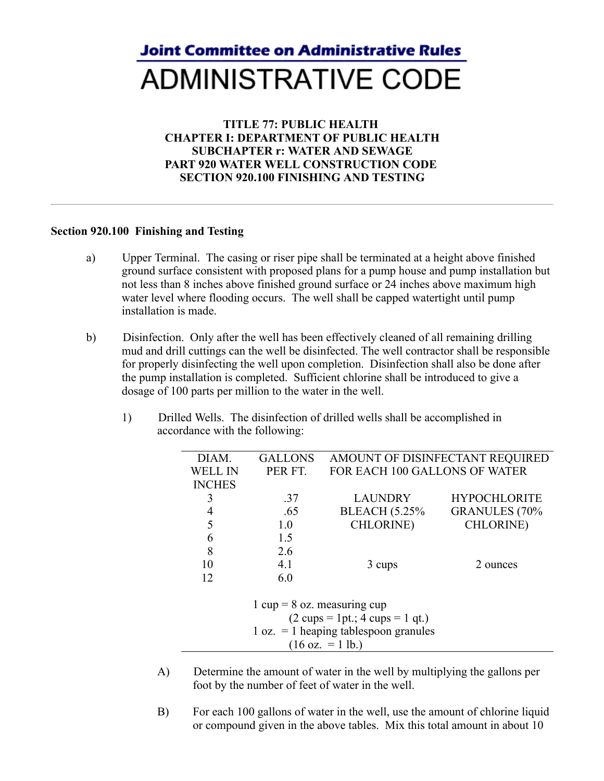## **Joint Committee on Administrative Rules ADMINISTRATIVE CODE**

## **TITLE 77: PUBLIC HEALTH CHAPTER I: DEPARTMENT OF PUBLIC HEALTH SUBCHAPTER r: WATER AND SEWAGE PART 920 WATER WELL CONSTRUCTION CODE SECTION 920.100 FINISHING AND TESTING**

## **Section 920.100 Finishing and Testing**

- a) Upper Terminal. The casing or riser pipe shall be terminated at a height above finished ground surface consistent with proposed plans for a pump house and pump installation but not less than 8 inches above finished ground surface or 24 inches above maximum high water level where flooding occurs. The well shall be capped watertight until pump installation is made.
- b) Disinfection. Only after the well has been effectively cleaned of all remaining drilling mud and drill cuttings can the well be disinfected. The well contractor shall be responsible for properly disinfecting the well upon completion. Disinfection shall also be done after the pump installation is completed. Sufficient chlorine shall be introduced to give a dosage of 100 parts per million to the water in the well.
	- 1) Drilled Wells. The disinfection of drilled wells shall be accomplished in accordance with the following:

| DIAM.                                                              | <b>GALLONS</b> | AMOUNT OF DISINFECTANT REQUIRED |                       |  |  |  |  |
|--------------------------------------------------------------------|----------------|---------------------------------|-----------------------|--|--|--|--|
| WELL IN                                                            | PER FT.        | FOR EACH 100 GALLONS OF WATER   |                       |  |  |  |  |
| <b>INCHES</b>                                                      |                |                                 |                       |  |  |  |  |
| 3                                                                  | .37            | <b>LAUNDRY</b>                  | <b>HYPOCHLORITE</b>   |  |  |  |  |
| 4                                                                  | .65            | <b>BLEACH</b> (5.25%)           | <b>GRANULES</b> (70%) |  |  |  |  |
| 5                                                                  | 1.0            | <b>CHLORINE</b> )               | <b>CHLORINE</b> )     |  |  |  |  |
| 6                                                                  | 1.5            |                                 |                       |  |  |  |  |
| 8                                                                  | 2.6            |                                 |                       |  |  |  |  |
| 10                                                                 | 4.1            | 2 ounces<br>3 cups              |                       |  |  |  |  |
| 12                                                                 | 6.0            |                                 |                       |  |  |  |  |
|                                                                    |                |                                 |                       |  |  |  |  |
| 1 cup = $8$ oz. measuring cup                                      |                |                                 |                       |  |  |  |  |
| $(2 \text{ cups} = 1 \text{ pt.}; 4 \text{ cups} = 1 \text{ qt.})$ |                |                                 |                       |  |  |  |  |
| $1 oz. = 1$ heaping tablespoon granules                            |                |                                 |                       |  |  |  |  |
| $(16 \text{ oz.} = 1 \text{ lb.})$                                 |                |                                 |                       |  |  |  |  |
|                                                                    |                |                                 |                       |  |  |  |  |

- A) Determine the amount of water in the well by multiplying the gallons per foot by the number of feet of water in the well.
- B) For each 100 gallons of water in the well, use the amount of chlorine liquid or compound given in the above tables. Mix this total amount in about 10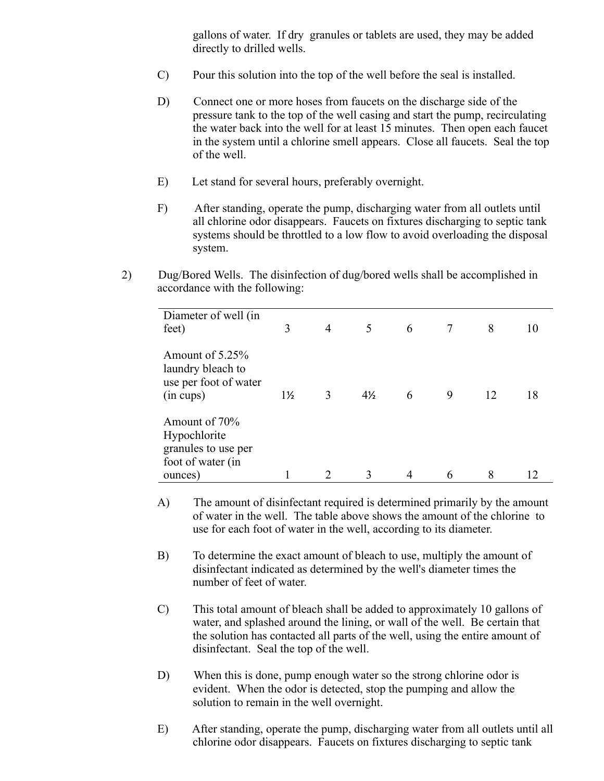gallons of water. If dry granules or tablets are used, they may be added directly to drilled wells.

- C) Pour this solution into the top of the well before the seal is installed.
- D) Connect one or more hoses from faucets on the discharge side of the pressure tank to the top of the well casing and start the pump, recirculating the water back into the well for at least 15 minutes. Then open each faucet in the system until a chlorine smell appears. Close all faucets. Seal the top of the well.
- E) Let stand for several hours, preferably overnight.
- F) After standing, operate the pump, discharging water from all outlets until all chlorine odor disappears. Faucets on fixtures discharging to septic tank systems should be throttled to a low flow to avoid overloading the disposal system.
- 2) Dug/Bored Wells. The disinfection of dug/bored wells shall be accomplished in accordance with the following:

| Diameter of well (in<br>feet)                                                        | 3              | 4 | 5              | 6 |   | 8  |    |
|--------------------------------------------------------------------------------------|----------------|---|----------------|---|---|----|----|
| Amount of 5.25%<br>laundry bleach to<br>use per foot of water<br>(in cups)           | $1\frac{1}{2}$ | 3 | $4\frac{1}{2}$ | 6 | 9 | 12 | 18 |
| Amount of 70%<br>Hypochlorite<br>granules to use per<br>foot of water (in<br>ounces) |                |   |                |   | 6 | 8  |    |

- A) The amount of disinfectant required is determined primarily by the amount of water in the well. The table above shows the amount of the chlorine to use for each foot of water in the well, according to its diameter.
- B) To determine the exact amount of bleach to use, multiply the amount of disinfectant indicated as determined by the well's diameter times the number of feet of water.
- C) This total amount of bleach shall be added to approximately 10 gallons of water, and splashed around the lining, or wall of the well. Be certain that the solution has contacted all parts of the well, using the entire amount of disinfectant. Seal the top of the well.
- D) When this is done, pump enough water so the strong chlorine odor is evident. When the odor is detected, stop the pumping and allow the solution to remain in the well overnight.
- E) After standing, operate the pump, discharging water from all outlets until all chlorine odor disappears. Faucets on fixtures discharging to septic tank